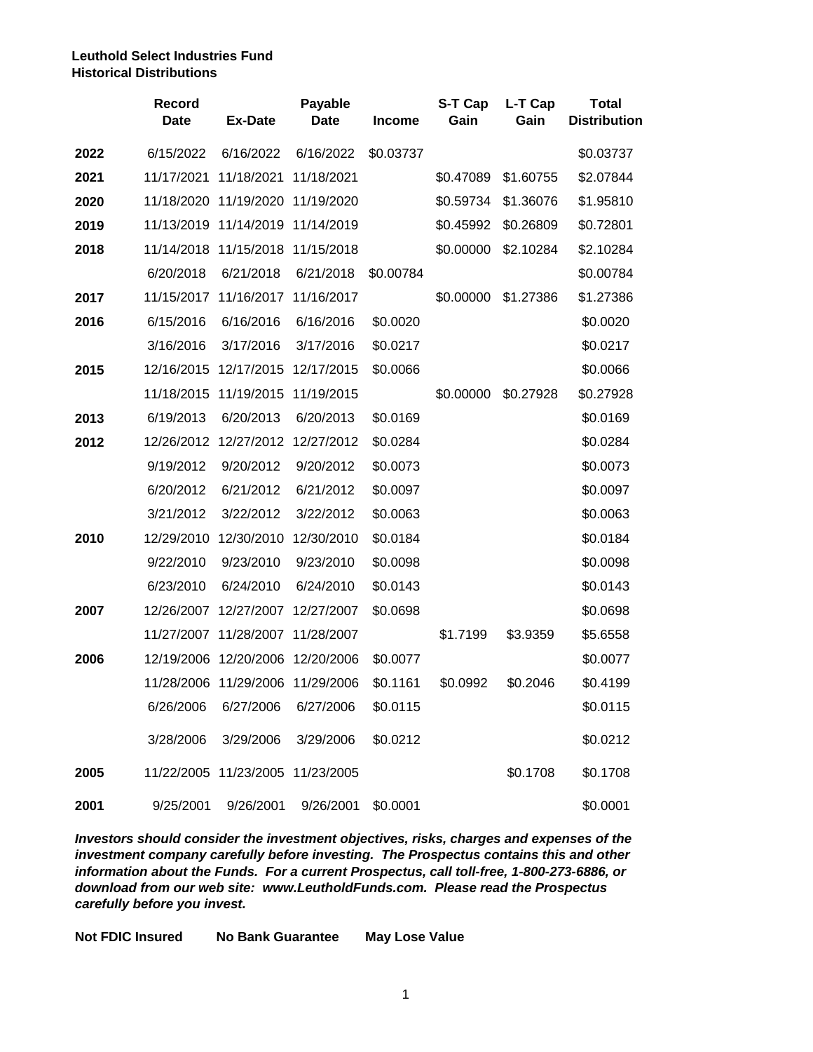## **Leuthold Select Industries Fund Historical Distributions**

|      | <b>Record</b><br><b>Date</b> | <b>Ex-Date</b>                   | Payable<br><b>Date</b> | <b>Income</b> | S-T Cap<br>Gain | L-T Cap<br>Gain | <b>Total</b><br><b>Distribution</b> |
|------|------------------------------|----------------------------------|------------------------|---------------|-----------------|-----------------|-------------------------------------|
| 2022 | 6/15/2022                    | 6/16/2022                        | 6/16/2022              | \$0.03737     |                 |                 | \$0.03737                           |
| 2021 | 11/17/2021                   | 11/18/2021                       | 11/18/2021             |               | \$0.47089       | \$1.60755       | \$2.07844                           |
| 2020 |                              | 11/18/2020 11/19/2020 11/19/2020 |                        |               | \$0.59734       | \$1.36076       | \$1.95810                           |
| 2019 |                              | 11/13/2019 11/14/2019 11/14/2019 |                        |               | \$0.45992       | \$0.26809       | \$0.72801                           |
| 2018 |                              | 11/14/2018 11/15/2018 11/15/2018 |                        |               | \$0.00000       | \$2.10284       | \$2.10284                           |
|      | 6/20/2018                    | 6/21/2018                        | 6/21/2018              | \$0.00784     |                 |                 | \$0.00784                           |
| 2017 |                              | 11/15/2017 11/16/2017 11/16/2017 |                        |               | \$0.00000       | \$1.27386       | \$1.27386                           |
| 2016 | 6/15/2016                    | 6/16/2016                        | 6/16/2016              | \$0.0020      |                 |                 | \$0.0020                            |
|      | 3/16/2016                    | 3/17/2016                        | 3/17/2016              | \$0.0217      |                 |                 | \$0.0217                            |
| 2015 |                              | 12/16/2015 12/17/2015 12/17/2015 |                        | \$0.0066      |                 |                 | \$0.0066                            |
|      |                              | 11/18/2015 11/19/2015 11/19/2015 |                        |               | \$0.00000       | \$0.27928       | \$0.27928                           |
| 2013 | 6/19/2013                    | 6/20/2013                        | 6/20/2013              | \$0.0169      |                 |                 | \$0.0169                            |
| 2012 | 12/26/2012                   | 12/27/2012 12/27/2012            |                        | \$0.0284      |                 |                 | \$0.0284                            |
|      | 9/19/2012                    | 9/20/2012                        | 9/20/2012              | \$0.0073      |                 |                 | \$0.0073                            |
|      | 6/20/2012                    | 6/21/2012                        | 6/21/2012              | \$0.0097      |                 |                 | \$0.0097                            |
|      | 3/21/2012                    | 3/22/2012                        | 3/22/2012              | \$0.0063      |                 |                 | \$0.0063                            |
| 2010 | 12/29/2010                   | 12/30/2010                       | 12/30/2010             | \$0.0184      |                 |                 | \$0.0184                            |
|      | 9/22/2010                    | 9/23/2010                        | 9/23/2010              | \$0.0098      |                 |                 | \$0.0098                            |
|      | 6/23/2010                    | 6/24/2010                        | 6/24/2010              | \$0.0143      |                 |                 | \$0.0143                            |
| 2007 |                              | 12/26/2007 12/27/2007 12/27/2007 |                        | \$0.0698      |                 |                 | \$0.0698                            |
|      |                              | 11/27/2007 11/28/2007 11/28/2007 |                        |               | \$1.7199        | \$3.9359        | \$5.6558                            |
| 2006 |                              | 12/19/2006 12/20/2006 12/20/2006 |                        | \$0.0077      |                 |                 | \$0.0077                            |
|      |                              | 11/28/2006 11/29/2006 11/29/2006 |                        | \$0.1161      | \$0.0992        | \$0.2046        | \$0.4199                            |
|      | 6/26/2006                    | 6/27/2006                        | 6/27/2006              | \$0.0115      |                 |                 | \$0.0115                            |
|      | 3/28/2006                    | 3/29/2006                        | 3/29/2006              | \$0.0212      |                 |                 | \$0.0212                            |
| 2005 |                              | 11/22/2005 11/23/2005 11/23/2005 |                        |               |                 | \$0.1708        | \$0.1708                            |
| 2001 | 9/25/2001                    | 9/26/2001                        | 9/26/2001              | \$0.0001      |                 |                 | \$0.0001                            |

*Investors should consider the investment objectives, risks, charges and expenses of the investment company carefully before investing. The Prospectus contains this and other information about the Funds. For a current Prospectus, call toll-free, 1-800-273-6886, or download from our web site: www.LeutholdFunds.com. Please read the Prospectus carefully before you invest.*

**Not FDIC Insured No Bank Guarantee May Lose Value**